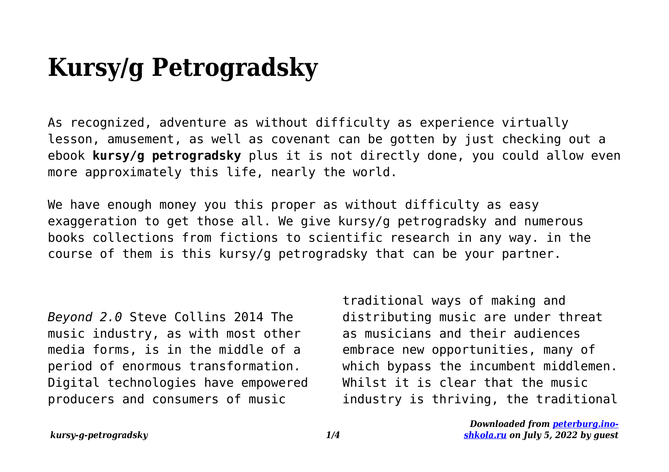## **Kursy/g Petrogradsky**

As recognized, adventure as without difficulty as experience virtually lesson, amusement, as well as covenant can be gotten by just checking out a ebook **kursy/g petrogradsky** plus it is not directly done, you could allow even more approximately this life, nearly the world.

We have enough money you this proper as without difficulty as easy exaggeration to get those all. We give kursy/g petrogradsky and numerous books collections from fictions to scientific research in any way. in the course of them is this kursy/g petrogradsky that can be your partner.

*Beyond 2.0* Steve Collins 2014 The music industry, as with most other media forms, is in the middle of a period of enormous transformation. Digital technologies have empowered producers and consumers of music

traditional ways of making and distributing music are under threat as musicians and their audiences embrace new opportunities, many of which bypass the incumbent middlemen. Whilst it is clear that the music industry is thriving, the traditional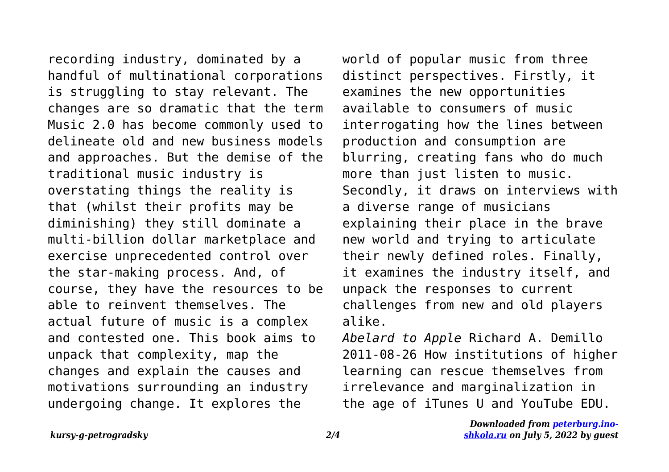recording industry, dominated by a handful of multinational corporations is struggling to stay relevant. The changes are so dramatic that the term Music 2.0 has become commonly used to delineate old and new business models and approaches. But the demise of the traditional music industry is overstating things the reality is that (whilst their profits may be diminishing) they still dominate a multi-billion dollar marketplace and exercise unprecedented control over the star-making process. And, of course, they have the resources to be able to reinvent themselves. The actual future of music is a complex and contested one. This book aims to unpack that complexity, map the changes and explain the causes and motivations surrounding an industry undergoing change. It explores the

world of popular music from three distinct perspectives. Firstly, it examines the new opportunities available to consumers of music interrogating how the lines between production and consumption are blurring, creating fans who do much more than just listen to music. Secondly, it draws on interviews with a diverse range of musicians explaining their place in the brave new world and trying to articulate their newly defined roles. Finally, it examines the industry itself, and unpack the responses to current challenges from new and old players alike.

*Abelard to Apple* Richard A. Demillo 2011-08-26 How institutions of higher learning can rescue themselves from irrelevance and marginalization in the age of iTunes U and YouTube EDU.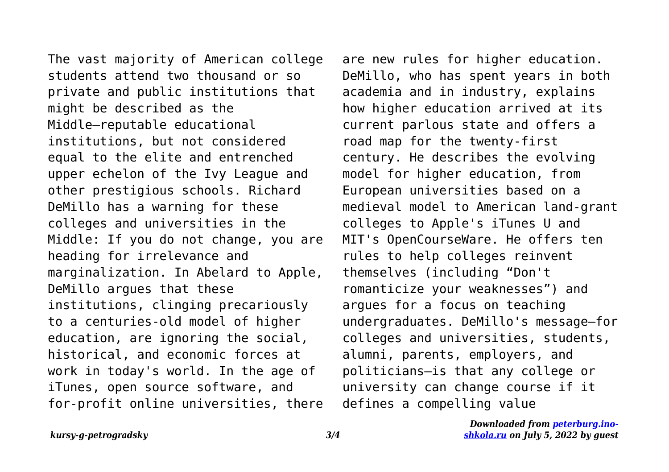The vast majority of American college students attend two thousand or so private and public institutions that might be described as the Middle—reputable educational institutions, but not considered equal to the elite and entrenched upper echelon of the Ivy League and other prestigious schools. Richard DeMillo has a warning for these colleges and universities in the Middle: If you do not change, you are heading for irrelevance and marginalization. In Abelard to Apple, DeMillo argues that these institutions, clinging precariously to a centuries-old model of higher education, are ignoring the social, historical, and economic forces at work in today's world. In the age of iTunes, open source software, and for-profit online universities, there are new rules for higher education. DeMillo, who has spent years in both academia and in industry, explains how higher education arrived at its current parlous state and offers a road map for the twenty-first century. He describes the evolving model for higher education, from European universities based on a medieval model to American land-grant colleges to Apple's iTunes U and MIT's OpenCourseWare. He offers ten rules to help colleges reinvent themselves (including "Don't romanticize your weaknesses") and argues for a focus on teaching undergraduates. DeMillo's message—for colleges and universities, students, alumni, parents, employers, and politicians—is that any college or university can change course if it defines a compelling value